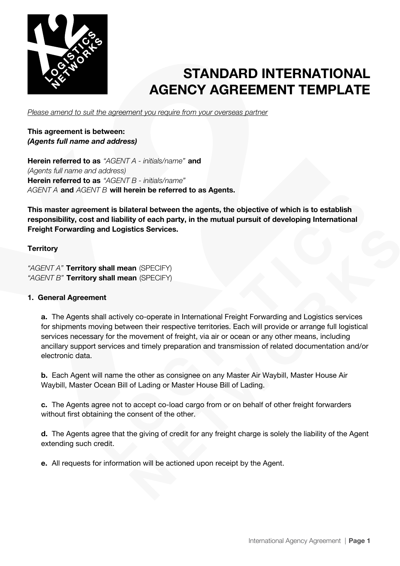

*Please amend to suit the agreement you require from your overseas partner*

## **This agreement is between:** *(Agents full name and address)*

**Herein referred to as** *"AGENT A - initials/name"* **and** *(Agents full name and address)* **Herein referred to as** *"AGENT B - initials/name" AGENT A* **and** *AGENT B* **will herein be referred to as Agents.**

**This master agreement is bilateral between the agents, the objective of which is to establish responsibility, cost and liability of each party, in the mutual pursuit of developing International Freight Forwarding and Logistics Services.**

## **Territory**

*"AGENT A"* **Territory shall mean** (SPECIFY) *"AGENT B"* **Territory shall mean** (SPECIFY)

### **1. General Agreement**

**a.** The Agents shall actively co-operate in International Freight Forwarding and Logistics services for shipments moving between their respective territories. Each will provide or arrange full logistical services necessary for the movement of freight, via air or ocean or any other means, including ancillary support services and timely preparation and transmission of related documentation and/or electronic data.

**b.** Each Agent will name the other as consignee on any Master Air Waybill, Master House Air Waybill, Master Ocean Bill of Lading or Master House Bill of Lading.

**c.** The Agents agree not to accept co-load cargo from or on behalf of other freight forwarders without first obtaining the consent of the other.

**d.** The Agents agree that the giving of credit for any freight charge is solely the liability of the Agent extending such credit.

**e.** All requests for information will be actioned upon receipt by the Agent.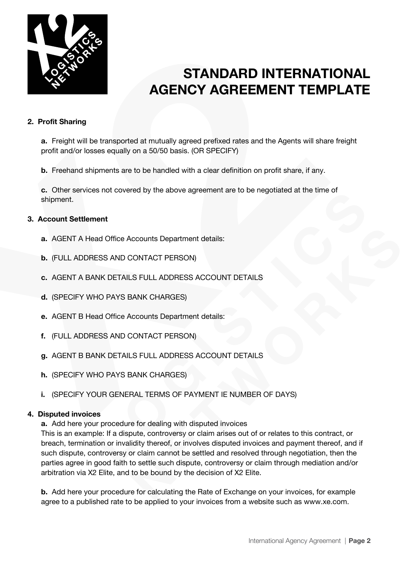

### **2. Profit Sharing**

**a.** Freight will be transported at mutually agreed prefixed rates and the Agents will share freight profit and/or losses equally on a 50/50 basis. (OR SPECIFY)

**b.** Freehand shipments are to be handled with a clear definition on profit share, if any.

**c.** Other services not covered by the above agreement are to be negotiated at the time of shipment.

### **3. Account Settlement**

- **a.** AGENT A Head Office Accounts Department details:
- **b.** (FULL ADDRESS AND CONTACT PERSON)
- **c.** AGENT A BANK DETAILS FULL ADDRESS ACCOUNT DETAILS
- **d.** (SPECIFY WHO PAYS BANK CHARGES)
- **e.** AGENT B Head Office Accounts Department details:
- **f.** (FULL ADDRESS AND CONTACT PERSON)
- **g.** AGENT B BANK DETAILS FULL ADDRESS ACCOUNT DETAILS
- **h.** (SPECIFY WHO PAYS BANK CHARGES)
- **i.** (SPECIFY YOUR GENERAL TERMS OF PAYMENT IE NUMBER OF DAYS)

#### **4. Disputed invoices**

**a.** Add here your procedure for dealing with disputed invoices

This is an example: If a dispute, controversy or claim arises out of or relates to this contract, or breach, termination or invalidity thereof, or involves disputed invoices and payment thereof, and if such dispute, controversy or claim cannot be settled and resolved through negotiation, then the parties agree in good faith to settle such dispute, controversy or claim through mediation and/or arbitration via X2 Elite, and to be bound by the decision of X2 Elite.

**b.** Add here your procedure for calculating the Rate of Exchange on your invoices, for example agree to a published rate to be applied to your invoices from a website such as www.xe.com.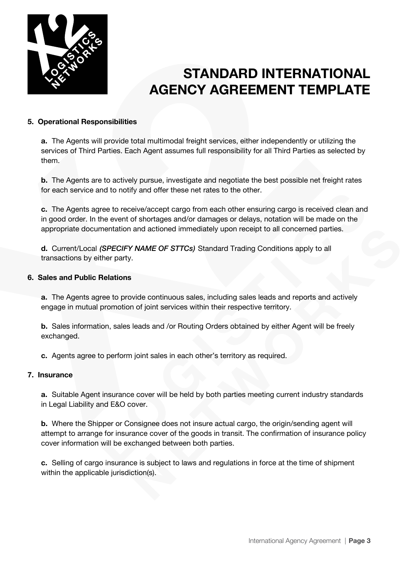

#### **5. Operational Responsibilities**

**a.** The Agents will provide total multimodal freight services, either independently or utilizing the services of Third Parties. Each Agent assumes full responsibility for all Third Parties as selected by them.

**b.** The Agents are to actively pursue, investigate and negotiate the best possible net freight rates for each service and to notify and offer these net rates to the other.

**c.** The Agents agree to receive/accept cargo from each other ensuring cargo is received clean and in good order. In the event of shortages and/or damages or delays, notation will be made on the appropriate documentation and actioned immediately upon receipt to all concerned parties.

**d.** Current/Local *(SPECIFY NAME OF STTCs)* Standard Trading Conditions apply to all transactions by either party.

#### **6. Sales and Public Relations**

**a.** The Agents agree to provide continuous sales, including sales leads and reports and actively engage in mutual promotion of joint services within their respective territory.

**b.** Sales information, sales leads and /or Routing Orders obtained by either Agent will be freely exchanged.

**c.** Agents agree to perform joint sales in each other's territory as required.

#### **7. Insurance**

**a.** Suitable Agent insurance cover will be held by both parties meeting current industry standards in Legal Liability and E&O cover.

**b.** Where the Shipper or Consignee does not insure actual cargo, the origin/sending agent will attempt to arrange for insurance cover of the goods in transit. The confirmation of insurance policy cover information will be exchanged between both parties.

**c.** Selling of cargo insurance is subject to laws and regulations in force at the time of shipment within the applicable jurisdiction(s).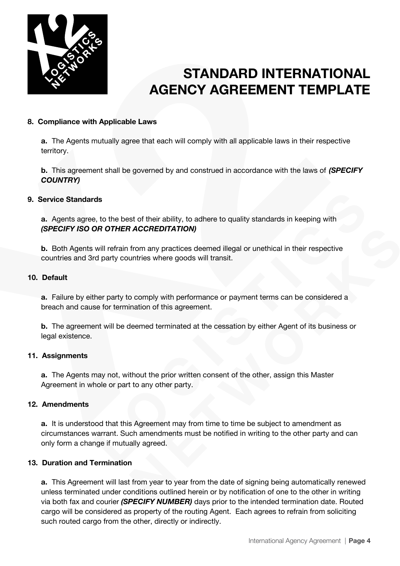

### **8. Compliance with Applicable Laws**

**a.** The Agents mutually agree that each will comply with all applicable laws in their respective territory.

**b.** This agreement shall be governed by and construed in accordance with the laws of *(SPECIFY COUNTRY)*

### **9. Service Standards**

**a.** Agents agree, to the best of their ability, to adhere to quality standards in keeping with *(SPECIFY ISO OR OTHER ACCREDITATION)*

**b.** Both Agents will refrain from any practices deemed illegal or unethical in their respective countries and 3rd party countries where goods will transit.

#### **10. Default**

**a.** Failure by either party to comply with performance or payment terms can be considered a breach and cause for termination of this agreement.

**b.** The agreement will be deemed terminated at the cessation by either Agent of its business or legal existence.

#### **11. Assignments**

**a.** The Agents may not, without the prior written consent of the other, assign this Master Agreement in whole or part to any other party.

#### **12. Amendments**

**a.** It is understood that this Agreement may from time to time be subject to amendment as circumstances warrant. Such amendments must be notified in writing to the other party and can only form a change if mutually agreed.

#### **13. Duration and Termination**

**a.** This Agreement will last from year to year from the date of signing being automatically renewed unless terminated under conditions outlined herein or by notification of one to the other in writing via both fax and courier *(SPECIFY NUMBER)* days prior to the intended termination date. Routed cargo will be considered as property of the routing Agent. Each agrees to refrain from soliciting such routed cargo from the other, directly or indirectly.